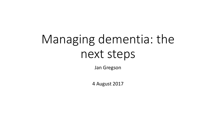# Managing dementia: the next steps

Jan Gregson

4 August 2017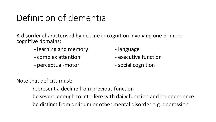## Definition of dementia

A disorder characterised by decline in cognition involving one or more cognitive domains:

- learning and memory and the language
- 
- perceptual-motor social cognition
- 
- complex attention **Fig. 1** are executive function
	-

Note that deficits must:

represent a decline from previous function

be severe enough to interfere with daily function and independence

be distinct from delirium or other mental disorder e.g. depression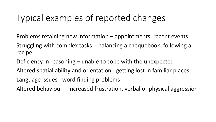### Typical examples of reported changes

Problems retaining new information – appointments, recent events Struggling with complex tasks - balancing a chequebook, following a recipe

Deficiency in reasoning – unable to cope with the unexpected

Altered spatial ability and orientation - getting lost in familiar places Language issues - word finding problems

Altered behaviour – increased frustration, verbal or physical aggression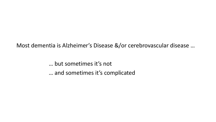Most dementia is Alzheimer's Disease &/or cerebrovascular disease …

… but sometimes it's not … and sometimes it's complicated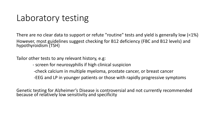### Laboratory testing

There are no clear data to support or refute "routine" tests and yield is generally low (<1%) However, most guidelines suggest checking for B12 deficiency (FBC and B12 levels) and hypothyroidism (TSH)

Tailor other tests to any relevant history, e.g:

- screen for neurosyphilis if high clinical suspicion

-check calcium in multiple myeloma, prostate cancer, or breast cancer

-EEG and LP in younger patients or those with rapidly progressive symptoms

Genetic testing for Alzheimer's Disease is controversial and not currently recommended because of relatively low sensitivity and specificity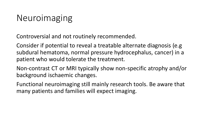### Neuroimaging

Controversial and not routinely recommended.

Consider if potential to reveal a treatable alternate diagnosis (e.g subdural hematoma, normal pressure hydrocephalus, cancer) in a patient who would tolerate the treatment.

Non-contrast CT or MRI typically show non-specific atrophy and/or background ischaemic changes.

Functional neuroimaging still mainly research tools. Be aware that many patients and families will expect imaging.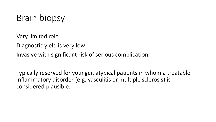## Brain biopsy

Very limited role

Diagnostic yield is very low,

Invasive with significant risk of serious complication.

Typically reserved for younger, atypical patients in whom a treatable inflammatory disorder (e.g. vasculitis or multiple sclerosis) is considered plausible.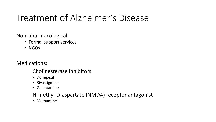### Treatment of Alzheimer's Disease

Non-pharmacological

- Formal support services
- NGOs

Medications:

#### Cholinesterase inhibitors

- Donepezil
- Rivastigmine
- Galantamine

#### N-methyl-D-aspartate (NMDA) receptor antagonist

• Memantine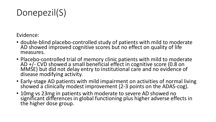Donepezil(S)

Evidence:

- double-blind placebo-controlled study of patients with mild to moderate AD showed improved cognitive scores but no effect on quality of life measures.
- Placebo-controlled trial of memory clinic patients with mild to moderate AD +/- CVD showed a small beneficial effect in cognitive score (0.8 on MMSE) but did not delay entry to institutional care and no evidence of disease modifying activity.
- Early-stage AD patients with mild impairment on activities of normal living showed a clinically modest improvement (2-3 points on the ADAS-cog).
- 10mg vs 23mg in patients with moderate to severe AD showed no significant differences in global functioning plus higher adverse effects in the higher dose group.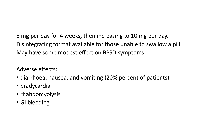5 mg per day for 4 weeks, then increasing to 10 mg per day. Disintegrating format available for those unable to swallow a pill. May have some modest effect on BPSD symptoms.

Adverse effects:

- diarrhoea, nausea, and vomiting (20% percent of patients)
- bradycardia
- rhabdomyolysis
- GI bleeding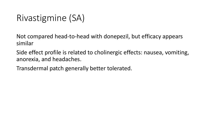### Rivastigmine (SA)

Not compared head-to-head with donepezil, but efficacy appears similar

Side effect profile is related to cholinergic effects: nausea, vomiting, anorexia, and headaches.

Transdermal patch generally better tolerated.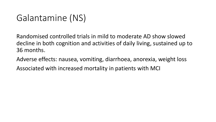### Galantamine (NS)

Randomised controlled trials in mild to moderate AD show slowed decline in both cognition and activities of daily living, sustained up to 36 months.

Adverse effects: nausea, vomiting, diarrhoea, anorexia, weight loss Associated with increased mortality in patients with MCI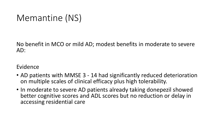### Memantine (NS)

No benefit in MCO or mild AD; modest benefits in moderate to severe AD:

#### Evidence

- AD patients with MMSE 3 14 had significantly reduced deterioration on multiple scales of clinical efficacy plus high tolerability.
- In moderate to severe AD patients already taking donepezil showed better cognitive scores and ADL scores but no reduction or delay in accessing residential care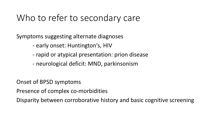### Who to refer to secondary care

Symptoms suggesting alternate diagnoses

- early onset: Huntington's, HIV
- rapid or atypical presentation: prion disease
- neurological deficit: MND, parkinsonism

Onset of BPSD symptoms

Presence of complex co-morbidities

Disparity between corroborative history and basic cognitive screening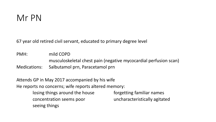### Mr PN

67 year old retired civil servant, educated to primary degree level

PMH: mild COPD musculoskeletal chest pain (negative mycocardial perfusion scan) Medications: Salbutamol prn, Paracetamol prn

Attends GP in May 2017 accompanied by his wife He reports no concerns; wife reports altered memory: losing things around the house forgetting familiar names concentration seems poor uncharacteristically agitated seeing things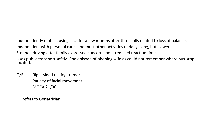Independently mobile, using stick for a few months after three falls related to loss of balance. Independent with personal cares and most other activities of daily living, but slower. Stopped driving after family expressed concern about reduced reaction time. Uses public transport safely, One episode of phoning wife as could not remember where bus-stop located.

O/E: Right sided resting tremor Paucity of facial movement MOCA 21/30

GP refers to Geriatrician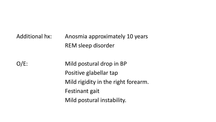### Additional hx: Anosmia approximately 10 years REM sleep disorder

O/E: Mild postural drop in BP Positive glabellar tap Mild rigidity in the right forearm. Festinant gait Mild postural instability.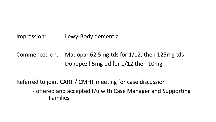Impression: Lewy-Body dementia

Commenced on: Madopar 62.5mg tds for 1/12, then 125mg tds Donepezil 5mg od for 1/12 then 10mg

Referred to joint CART / CMHT meeting for case discussion - offered and accepted f/u with Case Manager and Supporting Families